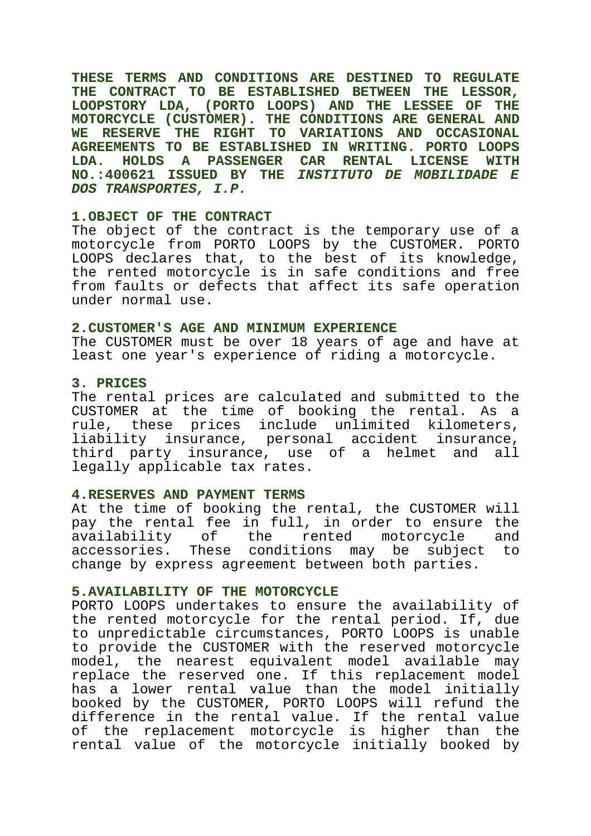**THESE TERMS AND CONDITIONS ARE DESTINED TO REGULATE THE CONTRACT TO BE ESTABLISHED BETWEEN THE LESSOR, LOOPSTORY LDA, (PORTO LOOPS) AND THE LESSEE OF THE MOTORCYCLE (CUSTOMER). THE CONDITIONS ARE GENERAL AND WE RESERVE THE RIGHT TO VARIATIONS AND OCCASIONAL AGREEMENTS TO BE ESTABLISHED IN WRITING. PORTO LOOPS LDA. HOLDS A PASSENGER CAR RENTAL LICENSE WITH NO.:400621 ISSUED BY THE INSTITUTO DE MOBILIDADE E DOS TRANSPORTES, I.P.**

### **1.OBJECT OF THE CONTRACT**

The object of the contract is the temporary use of a motorcycle from PORTO LOOPS by the CUSTOMER. PORTO LOOPS declares that, to the best of its knowledge, the rented motorcycle is in safe conditions and free from faults or defects that affect its safe operation under normal use.

### **2.CUSTOMER'S AGE AND MINIMUM EXPERIENCE**

The CUSTOMER must be over 18 years of age and have at least one year's experience of riding a motorcycle.

# **3. PRICES**

The rental prices are calculated and submitted to the CUSTOMER at the time of booking the rental. As a rule, these prices include unlimited kilometers, liability insurance, personal accident insurance, third party insurance, use of a helmet and all legally applicable tax rates.

# **4.RESERVES AND PAYMENT TERMS**

At the time of booking the rental, the CUSTOMER will pay the rental fee in full, in order to ensure the availability of the rented motorcycle and accessories. These conditions may be subject to change by express agreement between both parties.

# **5.AVAILABILITY OF THE MOTORCYCLE**

PORTO LOOPS undertakes to ensure the availability of the rented motorcycle for the rental period. If, due to unpredictable circumstances, PORTO LOOPS is unable to provide the CUSTOMER with the reserved motorcycle model, the nearest equivalent model available may replace the reserved one. If this replacement model has a lower rental value than the model initially booked by the CUSTOMER, PORTO LOOPS will refund the difference in the rental value. If the rental value of the replacement motorcycle is higher than the rental value of the motorcycle initially booked by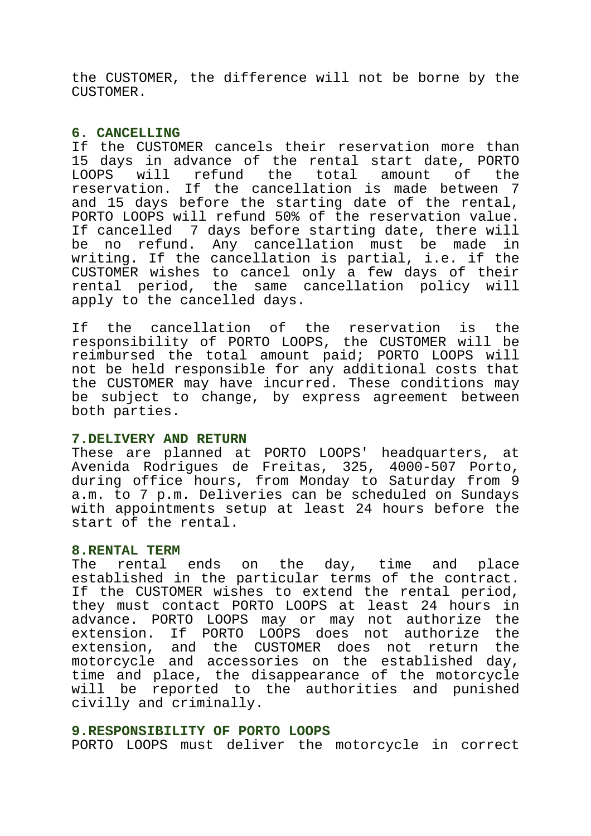the CUSTOMER, the difference will not be borne by the CUSTOMER.

## **6. CANCELLING**

If the CUSTOMER cancels their reservation more than 15 days in advance of the rental start date, PORTO LOOPS will refund the total amount of the reservation. If the cancellation is made between 7 and 15 days before the starting date of the rental, PORTO LOOPS will refund 50% of the reservation value. If cancelled 7 days before starting date, there will be no refund. Any cancellation must be made in writing. If the cancellation is partial, i.e. if the CUSTOMER wishes to cancel only a few days of their rental period, the same cancellation policy will apply to the cancelled days.

If the cancellation of the reservation is the responsibility of PORTO LOOPS, the CUSTOMER will be reimbursed the total amount paid; PORTO LOOPS will not be held responsible for any additional costs that the CUSTOMER may have incurred. These conditions may be subject to change, by express agreement between both parties.

### **7.DELIVERY AND RETURN**

These are planned at PORTO LOOPS' headquarters, at Avenida Rodrigues de Freitas, 325, 4000-507 Porto, during office hours, from Monday to Saturday from 9 a.m. to 7 p.m. Deliveries can be scheduled on Sundays with appointments setup at least 24 hours before the start of the rental.

### **8.RENTAL TERM**

The rental ends on the day, time and place established in the particular terms of the contract. If the CUSTOMER wishes to extend the rental period, they must contact PORTO LOOPS at least 24 hours in advance. PORTO LOOPS may or may not authorize the extension. If PORTO LOOPS does not authorize the extension, and the CUSTOMER does not return the motorcycle and accessories on the established day, time and place, the disappearance of the motorcycle will be reported to the authorities and punished civilly and criminally.

# **9.RESPONSIBILITY OF PORTO LOOPS**

PORTO LOOPS must deliver the motorcycle in correct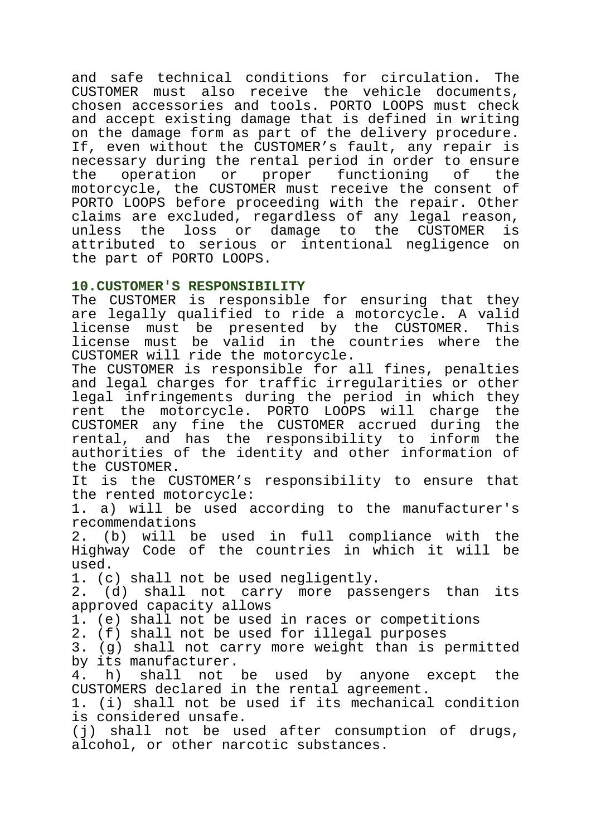and safe technical conditions for circulation. The CUSTOMER must also receive the vehicle documents, chosen accessories and tools. PORTO LOOPS must check and accept existing damage that is defined in writing on the damage form as part of the delivery procedure. If, even without the CUSTOMER's fault, any repair is necessary during the rental period in order to ensure the operation or proper functioning of the motorcycle, the CUSTOMER must receive the consent of PORTO LOOPS before proceeding with the repair. Other claims are excluded, regardless of any legal reason, unless the loss or damage to the CUSTOMER is attributed to serious or intentional negligence on the part of PORTO LOOPS.

# **10.CUSTOMER'S RESPONSIBILITY**

The CUSTOMER is responsible for ensuring that they are legally qualified to ride a motorcycle. A valid license must be presented by the CUSTOMER. This license must be valid in the countries where the CUSTOMER will ride the motorcycle.

The CUSTOMER is responsible for all fines, penalties and legal charges for traffic irregularities or other legal infringements during the period in which they rent the motorcycle. PORTO LOOPS will charge the CUSTOMER any fine the CUSTOMER accrued during the rental, and has the responsibility to inform the authorities of the identity and other information of the CUSTOMER.

It is the CUSTOMER's responsibility to ensure that the rented motorcycle:

1. a) will be used according to the manufacturer's recommendations

2. (b) will be used in full compliance with the Highway Code of the countries in which it will be used.

1. (c) shall not be used negligently.

2. (d) shall not carry more passengers than its approved capacity allows

1. (e) shall not be used in races or competitions

2. (f) shall not be used for illegal purposes

3. (g) shall not carry more weight than is permitted by its manufacturer.

4. h) shall not be used by anyone except the CUSTOMERS declared in the rental agreement.

1. (i) shall not be used if its mechanical condition is considered unsafe.

(j) shall not be used after consumption of drugs, alcohol, or other narcotic substances.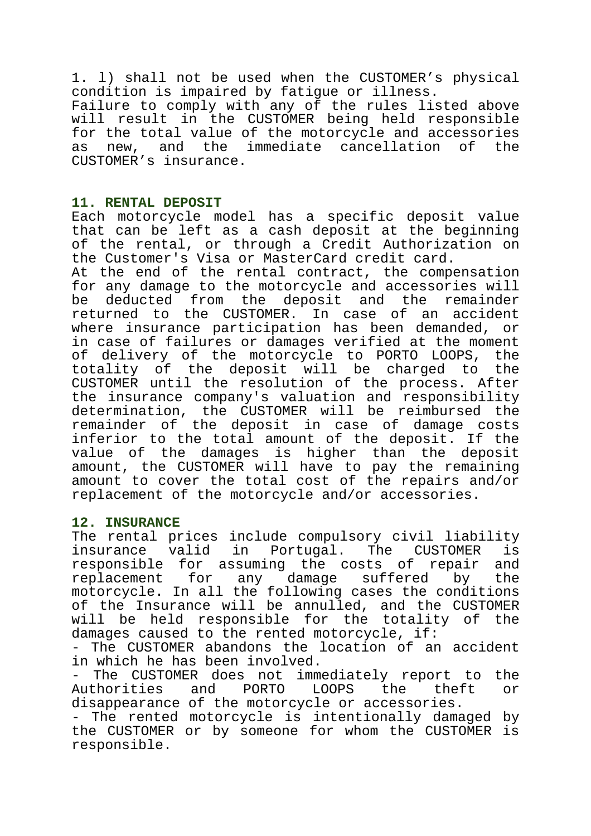1. l) shall not be used when the CUSTOMER's physical condition is impaired by fatigue or illness. Failure to comply with any of the rules listed above will result in the CUSTOMER being held responsible for the total value of the motorcycle and accessories as new, and the immediate cancellation of the CUSTOMER's insurance.

# **11. RENTAL DEPOSIT**

Each motorcycle model has a specific deposit value that can be left as a cash deposit at the beginning of the rental, or through a Credit Authorization on the Customer's Visa or MasterCard credit card.

At the end of the rental contract, the compensation for any damage to the motorcycle and accessories will be deducted from the deposit and the remainder returned to the CUSTOMER. In case of an accident where insurance participation has been demanded, or in case of failures or damages verified at the moment of delivery of the motorcycle to PORTO LOOPS, the totality of the deposit will be charged to the CUSTOMER until the resolution of the process. After the insurance company's valuation and responsibility determination, the CUSTOMER will be reimbursed the remainder of the deposit in case of damage costs inferior to the total amount of the deposit. If the value of the damages is higher than the deposit amount, the CUSTOMER will have to pay the remaining amount to cover the total cost of the repairs and/or replacement of the motorcycle and/or accessories.

# **12. INSURANCE**

The rental prices include compulsory civil liability insurance valid in Portugal. The CUSTOMER is responsible for assuming the costs of repair and replacement for any damage suffered by the motorcycle. In all the following cases the conditions of the Insurance will be annulled, and the CUSTOMER will be held responsible for the totality of the damages caused to the rented motorcycle, if:

- The CUSTOMER abandons the location of an accident in which he has been involved.

The CUSTOMER does not immediately report to the Authorities and PORTO LOOPS the theft or disappearance of the motorcycle or accessories.

- The rented motorcycle is intentionally damaged by the CUSTOMER or by someone for whom the CUSTOMER is responsible.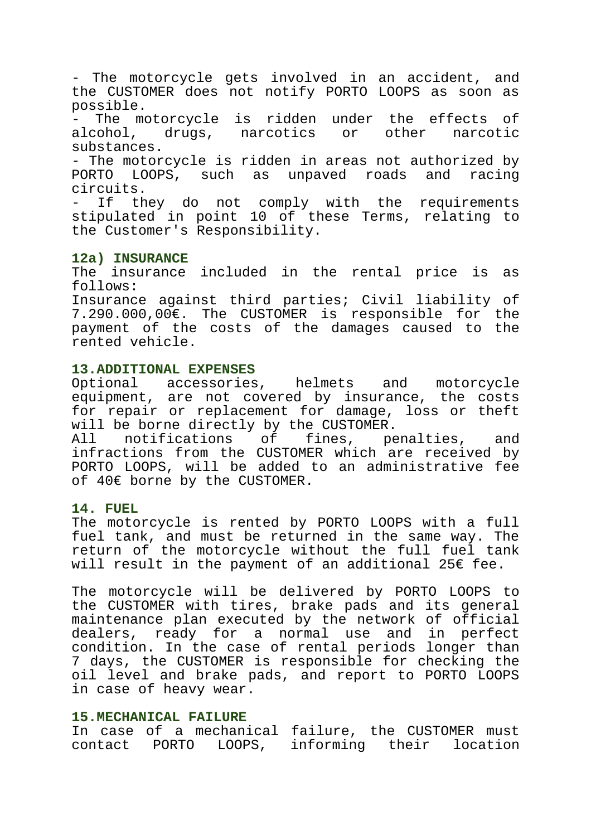- The motorcycle gets involved in an accident, and the CUSTOMER does not notify PORTO LOOPS as soon as possible.

- The motorcycle is ridden under the effects of alcohol, drugs, narcotics or other narcotic substances.

- The motorcycle is ridden in areas not authorized by PORTO LOOPS, such as unpaved roads and racing circuits.

If they do not comply with the requirements stipulated in point 10 of these Terms, relating to the Customer's Responsibility.

# **12a) INSURANCE**

The insurance included in the rental price is as follows:

Insurance against third parties; Civil liability of 7.290.000,00€. The CUSTOMER is responsible for the payment of the costs of the damages caused to the rented vehicle.

## **13.ADDITIONAL EXPENSES**

Optional accessories, helmets and motorcycle equipment, are not covered by insurance, the costs for repair or replacement for damage, loss or theft will be borne directly by the CUSTOMER.

All notifications of fines, penalties, and infractions from the CUSTOMER which are received by PORTO LOOPS, will be added to an administrative fee of 40€ borne by the CUSTOMER.

# **14. FUEL**

The motorcycle is rented by PORTO LOOPS with a full fuel tank, and must be returned in the same way. The return of the motorcycle without the full fuel tank will result in the payment of an additional 25€ fee.

The motorcycle will be delivered by PORTO LOOPS to the CUSTOMER with tires, brake pads and its general maintenance plan executed by the network of official dealers, ready for a normal use and in perfect condition. In the case of rental periods longer than 7 days, the CUSTOMER is responsible for checking the oil level and brake pads, and report to PORTO LOOPS in case of heavy wear.

## **15.MECHANICAL FAILURE**

In case of a mechanical failure, the CUSTOMER must contact PORTO LOOPS, informing their location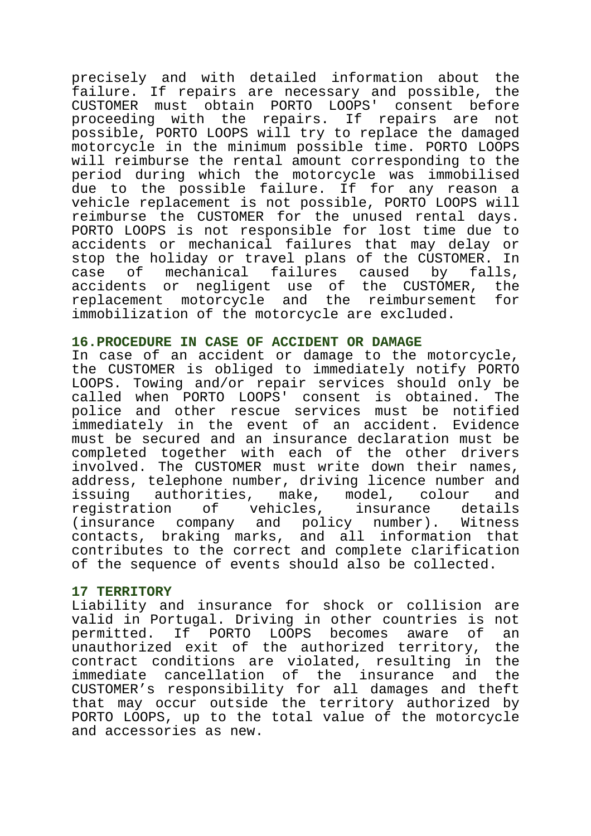precisely and with detailed information about the failure. If repairs are necessary and possible, the CUSTOMER must obtain PORTO LOOPS' consent before proceeding with the repairs. If repairs are not possible, PORTO LOOPS will try to replace the damaged motorcycle in the minimum possible time. PORTO LOOPS will reimburse the rental amount corresponding to the period during which the motorcycle was immobilised due to the possible failure. If for any reason a vehicle replacement is not possible, PORTO LOOPS will reimburse the CUSTOMER for the unused rental days. PORTO LOOPS is not responsible for lost time due to accidents or mechanical failures that may delay or stop the holiday or travel plans of the CUSTOMER. In case of mechanical failures caused by falls, accidents or negligent use of the CUSTOMER, the replacement motorcycle and the reimbursement for immobilization of the motorcycle are excluded.

# **16.PROCEDURE IN CASE OF ACCIDENT OR DAMAGE**

In case of an accident or damage to the motorcycle, the CUSTOMER is obliged to immediately notify PORTO LOOPS. Towing and/or repair services should only be called when PORTO LOOPS' consent is obtained. The police and other rescue services must be notified immediately in the event of an accident. Evidence must be secured and an insurance declaration must be completed together with each of the other drivers involved. The CUSTOMER must write down their names, address, telephone number, driving licence number and issuing authorities, make, model, colour and registration of vehicles, insurance details (insurance company and policy number). Witness contacts, braking marks, and all information that contributes to the correct and complete clarification of the sequence of events should also be collected.

# **17 TERRITORY**

Liability and insurance for shock or collision are valid in Portugal. Driving in other countries is not permitted. If PORTO LOOPS becomes aware of an unauthorized exit of the authorized territory, the contract conditions are violated, resulting in the immediate cancellation of the insurance and the CUSTOMER's responsibility for all damages and theft that may occur outside the territory authorized by PORTO LOOPS, up to the total value of the motorcycle and accessories as new.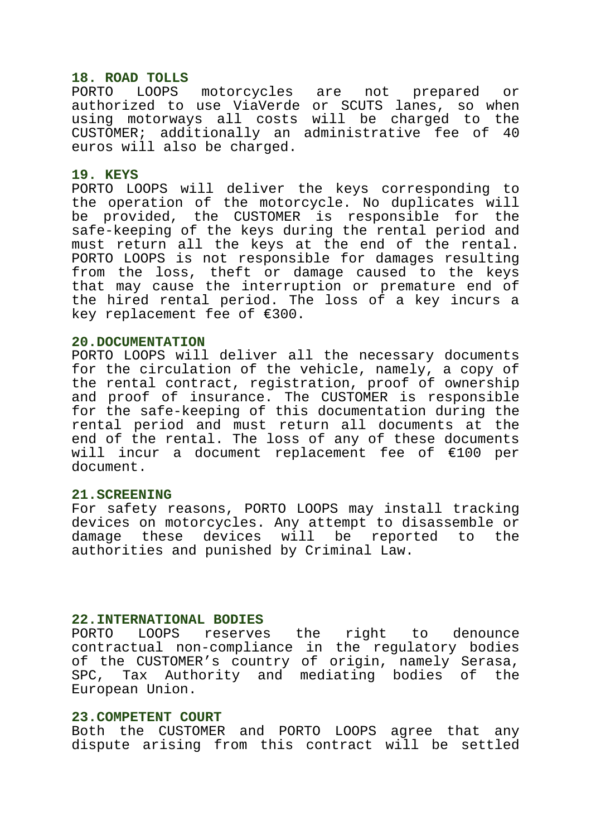### **18. ROAD TOLLS**

PORTO LOOPS motorcycles are not prepared or authorized to use ViaVerde or SCUTS lanes, so when using motorways all costs will be charged to the CUSTOMER; additionally an administrative fee of 40 euros will also be charged.

### **19. KEYS**

PORTO LOOPS will deliver the keys corresponding to the operation of the motorcycle. No duplicates will be provided, the CUSTOMER is responsible for the safe-keeping of the keys during the rental period and must return all the keys at the end of the rental. PORTO LOOPS is not responsible for damages resulting from the loss, theft or damage caused to the keys that may cause the interruption or premature end of the hired rental period. The loss of a key incurs a key replacement fee of €300.

### **20.DOCUMENTATION**

PORTO LOOPS will deliver all the necessary documents for the circulation of the vehicle, namely, a copy of the rental contract, registration, proof of ownership and proof of insurance. The CUSTOMER is responsible for the safe-keeping of this documentation during the rental period and must return all documents at the end of the rental. The loss of any of these documents will incur a document replacement fee of €100 per document.

## **21.SCREENING**

For safety reasons, PORTO LOOPS may install tracking devices on motorcycles. Any attempt to disassemble or damage these devices will be reported to the authorities and punished by Criminal Law.

### **22.INTERNATIONAL BODIES**

PORTO LOOPS reserves the right to denounce contractual non-compliance in the regulatory bodies of the CUSTOMER's country of origin, namely Serasa, SPC, Tax Authority and mediating bodies of the European Union.

### **23.COMPETENT COURT**

Both the CUSTOMER and PORTO LOOPS agree that any dispute arising from this contract will be settled